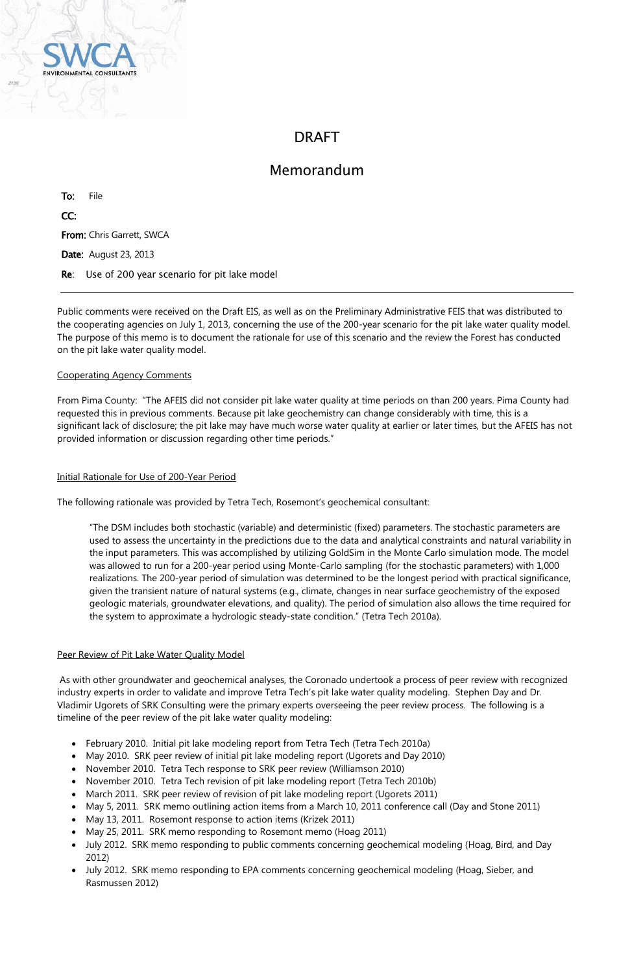

# DRAFT

## Memorandum

To: File CC: From: Chris Garrett, SWCA Date: August 23, 2013 Re: Use of 200 year scenario for pit lake model

Public comments were received on the Draft EIS, as well as on the Preliminary Administrative FEIS that was distributed to the cooperating agencies on July 1, 2013, concerning the use of the 200-year scenario for the pit lake water quality model. The purpose of this memo is to document the rationale for use of this scenario and the review the Forest has conducted on the pit lake water quality model.

#### Cooperating Agency Comments

From Pima County: "The AFEIS did not consider pit lake water quality at time periods on than 200 years. Pima County had requested this in previous comments. Because pit lake geochemistry can change considerably with time, this is a significant lack of disclosure; the pit lake may have much worse water quality at earlier or later times, but the AFEIS has not provided information or discussion regarding other time periods."

#### Initial Rationale for Use of 200-Year Period

The following rationale was provided by Tetra Tech, Rosemont's geochemical consultant:

"The DSM includes both stochastic (variable) and deterministic (fixed) parameters. The stochastic parameters are used to assess the uncertainty in the predictions due to the data and analytical constraints and natural variability in the input parameters. This was accomplished by utilizing GoldSim in the Monte Carlo simulation mode. The model was allowed to run for a 200-year period using Monte-Carlo sampling (for the stochastic parameters) with 1,000 realizations. The 200-year period of simulation was determined to be the longest period with practical significance, given the transient nature of natural systems (e.g., climate, changes in near surface geochemistry of the exposed geologic materials, groundwater elevations, and quality). The period of simulation also allows the time required for the system to approximate a hydrologic steady-state condition." (Tetra Tech 2010a).

#### Peer Review of Pit Lake Water Quality Model

As with other groundwater and geochemical analyses, the Coronado undertook a process of peer review with recognized industry experts in order to validate and improve Tetra Tech's pit lake water quality modeling. Stephen Day and Dr. Vladimir Ugorets of SRK Consulting were the primary experts overseeing the peer review process. The following is a timeline of the peer review of the pit lake water quality modeling:

- February 2010. Initial pit lake modeling report from Tetra Tech (Tetra Tech 2010a)
- May 2010. SRK peer review of initial pit lake modeling report (Ugorets and Day 2010)
- November 2010. Tetra Tech response to SRK peer review (Williamson 2010)
- November 2010. Tetra Tech revision of pit lake modeling report (Tetra Tech 2010b)
- March 2011. SRK peer review of revision of pit lake modeling report (Ugorets 2011)
- May 5, 2011. SRK memo outlining action items from a March 10, 2011 conference call (Day and Stone 2011)
- May 13, 2011. Rosemont response to action items (Krizek 2011)
- May 25, 2011. SRK memo responding to Rosemont memo (Hoag 2011)
- July 2012. SRK memo responding to public comments concerning geochemical modeling (Hoag, Bird, and Day 2012)
- July 2012. SRK memo responding to EPA comments concerning geochemical modeling (Hoag, Sieber, and Rasmussen 2012)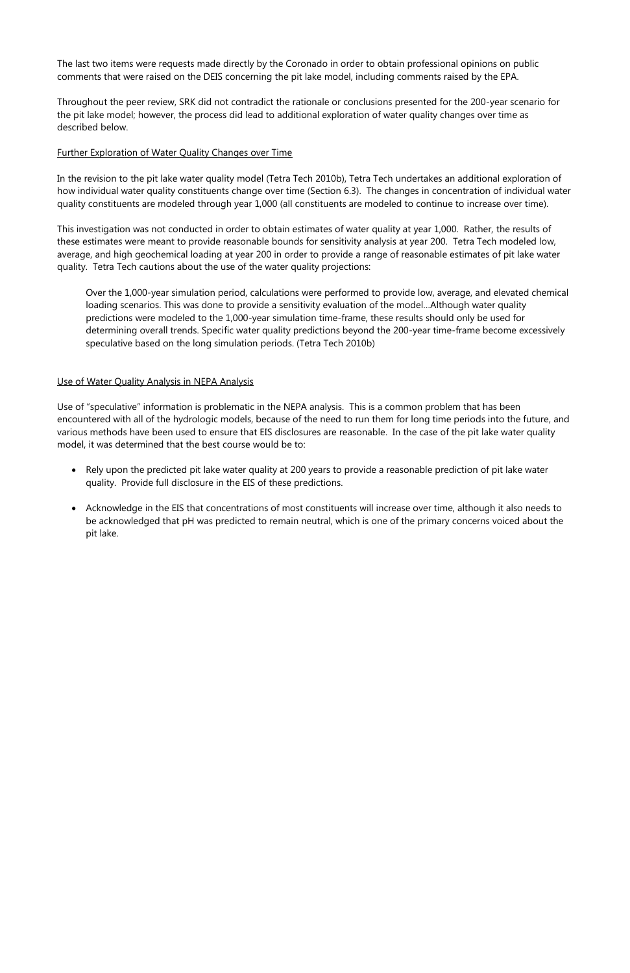The last two items were requests made directly by the Coronado in order to obtain professional opinions on public comments that were raised on the DEIS concerning the pit lake model, including comments raised by the EPA.

Throughout the peer review, SRK did not contradict the rationale or conclusions presented for the 200-year scenario for the pit lake model; however, the process did lead to additional exploration of water quality changes over time as described below.

### Further Exploration of Water Quality Changes over Time

In the revision to the pit lake water quality model (Tetra Tech 2010b), Tetra Tech undertakes an additional exploration of how individual water quality constituents change over time (Section 6.3). The changes in concentration of individual water quality constituents are modeled through year 1,000 (all constituents are modeled to continue to increase over time).

This investigation was not conducted in order to obtain estimates of water quality at year 1,000. Rather, the results of these estimates were meant to provide reasonable bounds for sensitivity analysis at year 200. Tetra Tech modeled low, average, and high geochemical loading at year 200 in order to provide a range of reasonable estimates of pit lake water quality. Tetra Tech cautions about the use of the water quality projections:

Over the 1,000-year simulation period, calculations were performed to provide low, average, and elevated chemical loading scenarios. This was done to provide a sensitivity evaluation of the model…Although water quality predictions were modeled to the 1,000-year simulation time-frame, these results should only be used for determining overall trends. Specific water quality predictions beyond the 200-year time-frame become excessively speculative based on the long simulation periods. (Tetra Tech 2010b)

#### Use of Water Quality Analysis in NEPA Analysis

Use of "speculative" information is problematic in the NEPA analysis. This is a common problem that has been encountered with all of the hydrologic models, because of the need to run them for long time periods into the future, and various methods have been used to ensure that EIS disclosures are reasonable. In the case of the pit lake water quality model, it was determined that the best course would be to:

- Rely upon the predicted pit lake water quality at 200 years to provide a reasonable prediction of pit lake water quality. Provide full disclosure in the EIS of these predictions.
- Acknowledge in the EIS that concentrations of most constituents will increase over time, although it also needs to be acknowledged that pH was predicted to remain neutral, which is one of the primary concerns voiced about the pit lake.